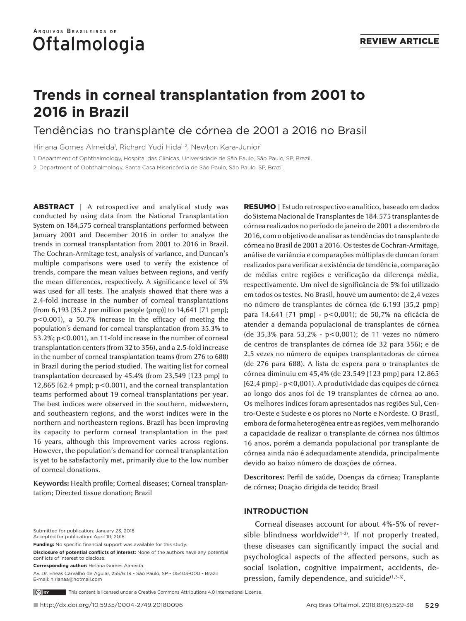# ARQUIVOS BRASILEIROS DE Oftalmologia

# **Trends in corneal transplantation from 2001 to 2016 in Brazil**

Tendências no transplante de córnea de 2001 a 2016 no Brasil

Hirlana Gomes Almeida<sup>1</sup>, Richard Yudi Hida<sup>1, 2</sup>, Newton Kara-Junior<sup>1</sup>

1. Department of Ophthalmology, Hospital das Clínicas, Universidade de São Paulo, São Paulo, SP, Brazil.

2. Department of Ophthalmology, Santa Casa Misericórdia de São Paulo, São Paulo, SP, Brazil.

ABSTRACT **|** A retrospective and analytical study was conducted by using data from the National Transplantation System on 184,575 corneal transplantations performed between January 2001 and December 2016 in order to analyze the trends in corneal transplantation from 2001 to 2016 in Brazil. The Cochran-Armitage test, analysis of variance, and Duncan's multiple comparisons were used to verify the existence of trends, compare the mean values between regions, and verify the mean differences, respectively. A significance level of 5% was used for all tests. The analysis showed that there was a 2.4-fold increase in the number of corneal transplantations (from 6,193 [35.2 per million people (pmp)] to 14,641 [71 pmp]; p<0.001), a 50.7% increase in the efficacy of meeting the population's demand for corneal transplantation (from 35.3% to 53.2%; p<0.001), an 11-fold increase in the number of corneal transplantation centers (from 32 to 356), and a 2.5-fold increase in the number of corneal transplantation teams (from 276 to 688) in Brazil during the period studied. The waiting list for corneal transplantation decreased by 45.4% (from 23,549 [123 pmp] to 12,865 [62.4 pmp]; p<0.001), and the corneal transplantation teams performed about 19 corneal transplantations per year. The best indices were observed in the southern, midwestern, and southeastern regions, and the worst indices were in the northern and northeastern regions. Brazil has been improving its capacity to perform corneal transplantation in the past 16 years, although this improvement varies across regions. However, the population's demand for corneal transplantation is yet to be satisfactorily met, primarily due to the low number of corneal donations.

**Keywords:** Health profile; Corneal diseases; Corneal transplantation; Directed tissue donation; Brazil

Submitted for publication: January 23, 2018 Accepted for publication: April 10, 2018

**Corresponding author:** Hirlana Gomes Almeida.

RESUMO **|** Estudo retrospectivo e analítico, baseado em dados do Sistema Nacional de Transplantes de 184.575 transplantes de córnea realizados no período de janeiro de 2001 a dezembro de 2016, com o objetivo de analisar as tendências do transplante de córnea no Brasil de 2001 a 2016. Os testes de Cochran-Armitage, análise de variância e comparações múltiplas de duncan foram realizados para verificar a existência de tendência, comparação de médias entre regiões e verificação da diferença média, respectivamente. Um nível de significância de 5% foi utilizado em todos os testes. No Brasil, houve um aumento: de 2,4 vezes no número de transplantes de córnea (de 6.193 [35,2 pmp] para 14.641 [71 pmp] - p<0,001); de 50,7% na eficácia de atender a demanda populacional de transplantes de córnea (de 35,3% para 53,2% - p<0,001); de 11 vezes no número de centros de transplantes de córnea (de 32 para 356); e de 2,5 vezes no número de equipes transplantadoras de córnea (de 276 para 688). A lista de espera para o transplantes de córnea diminuiu em 45,4% (de 23.549 [123 pmp] para 12.865 [62,4 pmp] - p<0,001). A produtividade das equipes de córnea ao longo dos anos foi de 19 transplantes de córnea ao ano. Os melhores índices foram apresentados nas regiões Sul, Centro-Oeste e Sudeste e os piores no Norte e Nordeste. O Brasil, embora de forma heterogênea entre as regiões, vem melhorando a capacidade de realizar o transplante de córnea nos últimos 16 anos, porém a demanda populacional por transplante de córnea ainda não é adequadamente atendida, principalmente devido ao baixo número de doações de córnea.

**Descritores:** Perfil de saúde, Doenças da córnea; Transplante de córnea; Doação dirigida de tecido; Brasil

# **INTRODUCTION**

Corneal diseases account for about 4%-5% of reversible blindness worldwide $(1-2)$ . If not properly treated, these diseases can significantly impact the social and psychological aspects of the affected persons, such as social isolation, cognitive impairment, accidents, depression, family dependence, and suicide<sup>(1,3-6)</sup>.

This content is licensed under a Creative Commons Attributions 4.0 International License.

**Funding:** No specific financial support was available for this study. **Disclosure of potential conflicts of interest:** None of the authors have any potential conflicts of interest to disclose.

Av. Dr. Enéas Carvalho de Aguiar, 255/6119 - São Paulo, SP - 05403-000 - Brazil E-mail: hirlanaa@hotmail.com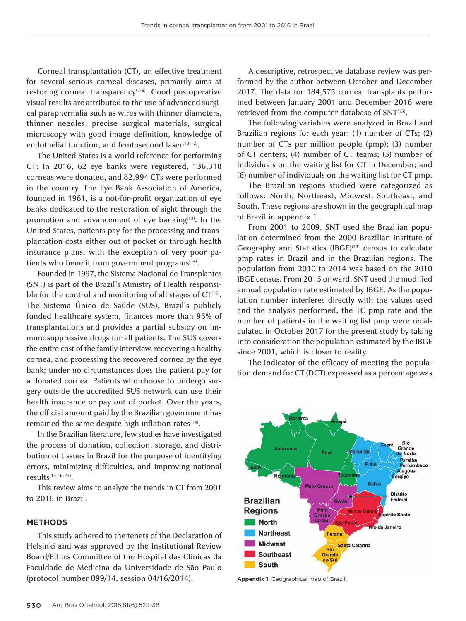Corneal transplantation (CT), an effective treatment for several serious corneal diseases, primarily aims at restoring corneal transparency<sup>(7-9)</sup>. Good postoperative visual results are attributed to the use of advanced surgical paraphernalia such as wires with thinner diameters, thinner needles, precise surgical materials, surgical microscopy with good image definition, knowledge of endothelial function, and femtosecond laser(10-12).

The United States is a world reference for performing CT: In 2016, 62 eye banks were registered, 136,318 corneas were donated, and 82,994 CTs were performed in the country. The Eye Bank Association of America, founded in 1961, is a not-for-profit organization of eye banks dedicated to the restoration of sight through the promotion and advancement of eye banking<sup>(13)</sup>. In the United States, patients pay for the processing and transplantation costs either out of pocket or through health insurance plans, with the exception of very poor patients who benefit from government programs<sup>(14)</sup>.

Founded in 1997, the Sistema Nacional de Transplantes (SNT) is part of the Brazil's Ministry of Health responsible for the control and monitoring of all stages of  $CT^{(15)}$ . The Sistema Único de Saúde (SUS), Brazil's publicly funded healthcare system, finances more than 95% of transplantations and provides a partial subsidy on immunosuppressive drugs for all patients. The SUS covers the entire cost of the family interview, recovering a healthy cornea, and processing the recovered cornea by the eye bank; under no circumstances does the patient pay for a donated cornea. Patients who choose to undergo surgery outside the accredited SUS network can use their health insurance or pay out of pocket. Over the years, the official amount paid by the Brazilian government has remained the same despite high inflation rates<sup>(14)</sup>.

In the Brazilian literature, few studies have investigated the process of donation, collection, storage, and distribution of tissues in Brazil for the purpose of identifying errors, minimizing difficulties, and improving national results(14,16-22).

This review aims to analyze the trends in CT from 2001 to 2016 in Brazil.

#### **METHODS**

This study adhered to the tenets of the Declaration of Helsinki and was approved by the Institutional Review Board/Ethics Committee of the Hospital das Clínicas da Faculdade de Medicina da Universidade de São Paulo (protocol number 099/14, session 04/16/2014).

A descriptive, retrospective database review was performed by the author between October and December 2017. The data for 184,575 corneal transplants performed between January 2001 and December 2016 were retrieved from the computer database of SNT<sup>(15)</sup>.

The following variables were analyzed in Brazil and Brazilian regions for each year: (1) number of CTs; (2) number of CTs per million people (pmp); (3) number of CT centers; (4) number of CT teams; (5) number of individuals on the waiting list for CT in December; and (6) number of individuals on the waiting list for CT pmp.

The Brazilian regions studied were categorized as follows: North, Northeast, Midwest, Southeast, and South. These regions are shown in the geographical map of Brazil in appendix 1.

From 2001 to 2009, SNT used the Brazilian population determined from the 2000 Brazilian Institute of Geography and Statistics  $(IBGE)^{(23)}$  census to calculate pmp rates in Brazil and in the Brazilian regions. The population from 2010 to 2014 was based on the 2010 IBGE census. From 2015 onward, SNT used the modified annual population rate estimated by IBGE. As the population number interferes directly with the values used and the analysis performed, the TC pmp rate and the number of patients in the waiting list pmp were recalculated in October 2017 for the present study by taking into consideration the population estimated by the IBGE since 2001, which is closer to reality.

The indicator of the efficacy of meeting the population demand for CT (DCT) expressed as a percentage was



**Appendix 1.** Geographical map of Brazil.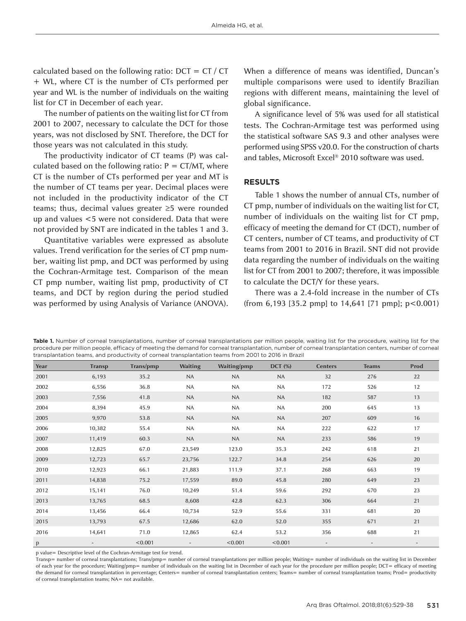calculated based on the following ratio:  $DCT = CT / CT$ + WL, where CT is the number of CTs performed per year and WL is the number of individuals on the waiting list for CT in December of each year.

The number of patients on the waiting list for CT from 2001 to 2007, necessary to calculate the DCT for those years, was not disclosed by SNT. Therefore, the DCT for those years was not calculated in this study.

The productivity indicator of CT teams (P) was calculated based on the following ratio:  $P = CT/MT$ , where CT is the number of CTs performed per year and MT is the number of CT teams per year. Decimal places were not included in the productivity indicator of the CT teams; thus, decimal values greater ≥5 were rounded up and values <5 were not considered. Data that were not provided by SNT are indicated in the tables 1 and 3.

Quantitative variables were expressed as absolute values. Trend verification for the series of CT pmp number, waiting list pmp, and DCT was performed by using the Cochran-Armitage test. Comparison of the mean CT pmp number, waiting list pmp, productivity of CT teams, and DCT by region during the period studied was performed by using Analysis of Variance (ANOVA). When a difference of means was identified, Duncan's multiple comparisons were used to identify Brazilian regions with different means, maintaining the level of global significance.

A significance level of 5% was used for all statistical tests. The Cochran-Armitage test was performed using the statistical software SAS 9.3 and other analyses were performed using SPSS v20.0. For the construction of charts and tables, Microsoft Excel® 2010 software was used.

# **RESULTS**

Table 1 shows the number of annual CTs, number of CT pmp, number of individuals on the waiting list for CT, number of individuals on the waiting list for CT pmp, efficacy of meeting the demand for CT (DCT), number of CT centers, number of CT teams, and productivity of CT teams from 2001 to 2016 in Brazil. SNT did not provide data regarding the number of individuals on the waiting list for CT from 2001 to 2007; therefore, it was impossible to calculate the DCT/Y for these years.

There was a 2.4-fold increase in the number of CTs (from 6,193 [35.2 pmp] to 14,641 [71 pmp]; p<0.001)

Table 1. Number of corneal transplantations, number of corneal transplantations per million people, waiting list for the procedure, waiting list for the procedure per million people, efficacy of meeting the demand for corneal transplantation, number of corneal transplantation centers, number of corneal transplantation teams, and productivity of corneal transplantation teams from 2001 to 2016 in Brazil

| Year | <b>Transp</b> | Trans/pmp | <b>Waiting</b> | Waiting/pmp | $DCT$ (%) | <b>Centers</b> | <b>Teams</b> | Prod                     |
|------|---------------|-----------|----------------|-------------|-----------|----------------|--------------|--------------------------|
| 2001 | 6,193         | 35.2      | <b>NA</b>      | <b>NA</b>   | <b>NA</b> | 32             | 276          | 22                       |
| 2002 | 6,556         | 36.8      | <b>NA</b>      | NA          | NA        | 172            | 526          | 12                       |
| 2003 | 7,556         | 41.8      | <b>NA</b>      | <b>NA</b>   | <b>NA</b> | 182            | 587          | 13                       |
| 2004 | 8,394         | 45.9      | <b>NA</b>      | <b>NA</b>   | NA        | 200            | 645          | 13                       |
| 2005 | 9,970         | 53.8      | <b>NA</b>      | <b>NA</b>   | <b>NA</b> | 207            | 609          | 16                       |
| 2006 | 10,382        | 55.4      | NA             | NA          | NA        | 222            | 622          | 17                       |
| 2007 | 11,419        | 60.3      | <b>NA</b>      | <b>NA</b>   | <b>NA</b> | 233            | 586          | 19                       |
| 2008 | 12,825        | 67.0      | 23,549         | 123.0       | 35.3      | 242            | 618          | 21                       |
| 2009 | 12,723        | 65.7      | 23,756         | 122.7       | 34.8      | 254            | 626          | 20                       |
| 2010 | 12,923        | 66.1      | 21,883         | 111.9       | 37.1      | 268            | 663          | 19                       |
| 2011 | 14,838        | 75.2      | 17,559         | 89.0        | 45.8      | 280            | 649          | 23                       |
| 2012 | 15,141        | 76.0      | 10,249         | 51.4        | 59.6      | 292            | 670          | 23                       |
| 2013 | 13,765        | 68.5      | 8,608          | 42.8        | 62.3      | 306            | 664          | 21                       |
| 2014 | 13,456        | 66.4      | 10,734         | 52.9        | 55.6      | 331            | 681          | 20                       |
| 2015 | 13,793        | 67.5      | 12,686         | 62.0        | 52.0      | 355            | 671          | 21                       |
| 2016 | 14,641        | 71.0      | 12,865         | 62.4        | 53.2      | 356            | 688          | 21                       |
| p    |               | < 0.001   |                | < 0.001     | < 0.001   |                |              | $\overline{\phantom{a}}$ |

p value= Descriptive level of the Cochran-Armitage test for trend.

Transp= number of corneal transplantations; Trans/pmp= number of corneal transplantations per million people; Waiting= number of individuals on the waiting list in December of each year for the procedure; Waiting/pmp= number of individuals on the waiting list in December of each year for the procedure per million people; DCT= efficacy of meeting the demand for corneal transplantation in percentage; Centers= number of corneal transplantation centers; Teams= number of corneal transplantation teams; Prod= productivity of corneal transplantation teams; NA= not available.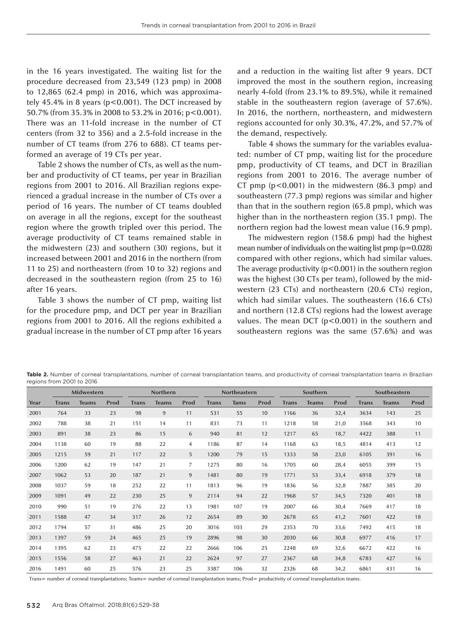in the 16 years investigated. The waiting list for the procedure decreased from 23,549 (123 pmp) in 2008 to 12,865 (62.4 pmp) in 2016, which was approximately 45.4% in 8 years (p<0.001). The DCT increased by 50.7% (from 35.3% in 2008 to 53.2% in 2016; p<0.001). There was an 11-fold increase in the number of CT centers (from 32 to 356) and a 2.5-fold increase in the number of CT teams (from 276 to 688). CT teams performed an average of 19 CTs per year.

Table 2 shows the number of CTs, as well as the number and productivity of CT teams, per year in Brazilian regions from 2001 to 2016. All Brazilian regions experienced a gradual increase in the number of CTs over a period of 16 years. The number of CT teams doubled on average in all the regions, except for the southeast region where the growth tripled over this period. The average productivity of CT teams remained stable in the midwestern (23) and southern (30) regions, but it increased between 2001 and 2016 in the northern (from 11 to 25) and northeastern (from 10 to 32) regions and decreased in the southeastern region (from 25 to 16) after 16 years.

Table 3 shows the number of CT pmp, waiting list for the procedure pmp, and DCT per year in Brazilian regions from 2001 to 2016. All the regions exhibited a gradual increase in the number of CT pmp after 16 years and a reduction in the waiting list after 9 years. DCT improved the most in the southern region, increasing nearly 4-fold (from 23.1% to 89.5%), while it remained stable in the southeastern region (average of 57.6%). In 2016, the northern, northeastern, and midwestern regions accounted for only 30.3%, 47.2%, and 57.7% of the demand, respectively.

Table 4 shows the summary for the variables evaluated: number of CT pmp, waiting list for the procedure pmp, productivity of CT teams, and DCT in Brazilian regions from 2001 to 2016. The average number of CT pmp  $(p<0.001)$  in the midwestern  $(86.3 \text{ pmp})$  and southeastern (77.3 pmp) regions was similar and higher than that in the southern region (65.8 pmp), which was higher than in the northeastern region (35.1 pmp). The northern region had the lowest mean value (16.9 pmp).

The midwestern region (158.6 pmp) had the highest mean number of individuals on the waiting list  $pmp (p=0.028)$ compared with other regions, which had similar values. The average productivity ( $p < 0.001$ ) in the southern region was the highest (30 CTs per team), followed by the midwestern (23 CTs) and northeastern (20.6 CTs) region, which had similar values. The southeastern (16.6 CTs) and northern (12.8 CTs) regions had the lowest average values. The mean DCT ( $p$ <0.001) in the southern and southeastern regions was the same (57.6%) and was

**Table 2.** Number of corneal transplantations, number of corneal transplantation teams, and productivity of corneal transplantation teams in Brazilian regions from 2001 to 2016

|      | Midwestern   |              |      | Northern     |              |                | <b>Northeastern</b> |             |      | Southern     |              |      | Southeastern |              |      |
|------|--------------|--------------|------|--------------|--------------|----------------|---------------------|-------------|------|--------------|--------------|------|--------------|--------------|------|
| Year | <b>Trans</b> | <b>Teams</b> | Prod | <b>Trans</b> | <b>Teams</b> | Prod           | <b>Trans</b>        | <b>Tams</b> | Prod | <b>Trans</b> | <b>Teams</b> | Prod | <b>Trans</b> | <b>Teams</b> | Prod |
| 2001 | 764          | 33           | 23   | 98           | 9            | 11             | 531                 | 55          | 10   | 1166         | 36           | 32,4 | 3634         | 143          | 25   |
| 2002 | 788          | 38           | 21   | 151          | 14           | 11             | 831                 | 73          | 11   | 1218         | 58           | 21,0 | 3568         | 343          | 10   |
| 2003 | 891          | 38           | 23   | 86           | 15           | 6              | 940                 | 81          | 12   | 1217         | 65           | 18,7 | 4422         | 388          | 11   |
| 2004 | 1138         | 60           | 19   | 88           | 22           | $\overline{4}$ | 1186                | 87          | 14   | 1168         | 63           | 18,5 | 4814         | 413          | 12   |
| 2005 | 1215         | 59           | 21   | 117          | 22           | 5              | 1200                | 79          | 15   | 1333         | 58           | 23,0 | 6105         | 391          | 16   |
| 2006 | 1200         | 62           | 19   | 147          | 21           | 7              | 1275                | 80          | 16   | 1705         | 60           | 28,4 | 6055         | 399          | 15   |
| 2007 | 1062         | 53           | 20   | 187          | 21           | 9              | 1481                | 80          | 19   | 1771         | 53           | 33,4 | 6918         | 379          | 18   |
| 2008 | 1037         | 59           | 18   | 252          | 22           | 11             | 1813                | 96          | 19   | 1836         | 56           | 32,8 | 7887         | 385          | 20   |
| 2009 | 1091         | 49           | 22   | 230          | 25           | 9              | 2114                | 94          | 22   | 1968         | 57           | 34,5 | 7320         | 401          | 18   |
| 2010 | 990          | 51           | 19   | 276          | 22           | 13             | 1981                | 107         | 19   | 2007         | 66           | 30,4 | 7669         | 417          | 18   |
| 2011 | 1588         | 47           | 34   | 317          | 26           | 12             | 2654                | 89          | 30   | 2678         | 65           | 41,2 | 7601         | 422          | 18   |
| 2012 | 1794         | 57           | 31   | 486          | 25           | 20             | 3016                | 103         | 29   | 2353         | 70           | 33,6 | 7492         | 415          | 18   |
| 2013 | 1397         | 59           | 24   | 465          | 25           | 19             | 2896                | 98          | 30   | 2030         | 66           | 30,8 | 6977         | 416          | 17   |
| 2014 | 1395         | 62           | 23   | 475          | 22           | 22             | 2666                | 106         | 25   | 2248         | 69           | 32,6 | 6672         | 422          | 16   |
| 2015 | 1556         | 58           | 27   | 463          | 21           | 22             | 2624                | 97          | 27   | 2367         | 68           | 34,8 | 6783         | 427          | 16   |
| 2016 | 1491         | 60           | 25   | 576          | 23           | 25             | 3387                | 106         | 32   | 2326         | 68           | 34,2 | 6861         | 431          | 16   |

Trans= number of corneal transplantations; Teams= number of corneal transplantation teams; Prod= productivity of corneal transplantation teams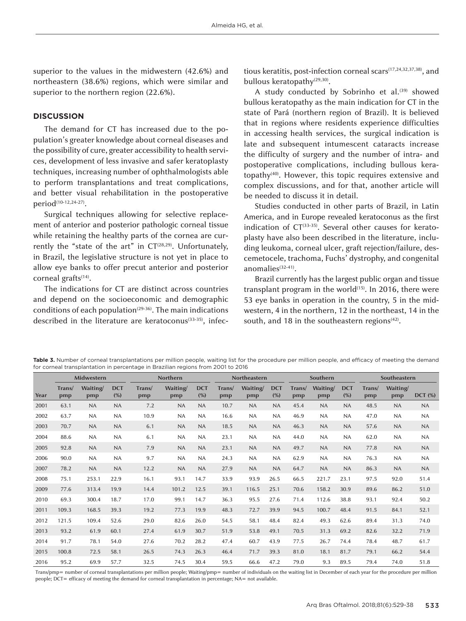superior to the values in the midwestern (42.6%) and northeastern (38.6%) regions, which were similar and superior to the northern region (22.6%).

# **DISCUSSION**

The demand for CT has increased due to the population's greater knowledge about corneal diseases and the possibility of cure, greater accessibility to health services, development of less invasive and safer keratoplasty techniques, increasing number of ophthalmologists able to perform transplantations and treat complications, and better visual rehabilitation in the postoperative period(10-12,24-27).

Surgical techniques allowing for selective replacement of anterior and posterior pathologic corneal tissue while retaining the healthy parts of the cornea are currently the "state of the art" in  $CT^{(28,29)}$ . Unfortunately, in Brazil, the legislative structure is not yet in place to allow eye banks to offer precut anterior and posterior corneal grafts<sup>(14)</sup>.

The indications for CT are distinct across countries and depend on the socioeconomic and demographic conditions of each population<sup> $(29-36)$ </sup>. The main indications described in the literature are keratoconus<sup>(33-35)</sup>, infectious keratitis, post-infection corneal scars(17,24,32,37,38), and bullous keratopathy<sup>(29,30)</sup>.

A study conducted by Sobrinho et al.<sup>(39)</sup> showed bullous keratopathy as the main indication for CT in the state of Pará (northern region of Brazil). It is believed that in regions where residents experience difficulties in accessing health services, the surgical indication is late and subsequent intumescent cataracts increase the difficulty of surgery and the number of intra- and postoperative complications, including bullous keratopathy(40). However, this topic requires extensive and complex discussions, and for that, another article will be needed to discuss it in detail.

Studies conducted in other parts of Brazil, in Latin America, and in Europe revealed keratoconus as the first indication of  $CT^{(33-35)}$ . Several other causes for keratoplasty have also been described in the literature, including leukoma, corneal ulcer, graft rejection/failure, descemetocele, trachoma, Fuchs' dystrophy, and congenital anomalies<sup>(32-41)</sup>.

Brazil currently has the largest public organ and tissue transplant program in the world $(15)$ . In 2016, there were 53 eye banks in operation in the country, 5 in the midwestern, 4 in the northern, 12 in the northeast, 14 in the south, and 18 in the southeastern regions $(42)$ .

**Table 3.** Number of corneal transplantations per million people, waiting list for the procedure per million people, and efficacy of meeting the demand for corneal transplantation in percentage in Brazilian regions from 2001 to 2016

|      | <b>Midwestern</b> |                 | Northern          |               |                 | <b>Northeastern</b> |               |                 | Southern          |               |                 | Southeastern      |               |                 |           |
|------|-------------------|-----------------|-------------------|---------------|-----------------|---------------------|---------------|-----------------|-------------------|---------------|-----------------|-------------------|---------------|-----------------|-----------|
| Year | Trans/<br>pmp     | Waiting/<br>pmp | <b>DCT</b><br>(%) | Trans/<br>pmp | Waiting/<br>pmp | <b>DCT</b><br>(%)   | Trans/<br>pmp | Waiting/<br>pmp | <b>DCT</b><br>(%) | Trans/<br>pmp | Waiting/<br>pmp | <b>DCT</b><br>(%) | Trans/<br>pmp | Waiting/<br>pmp | $DCT$ (%) |
| 2001 | 63.1              | <b>NA</b>       | NA                | 7.2           | <b>NA</b>       | NA                  | 10.7          | <b>NA</b>       | <b>NA</b>         | 45.4          | NA              | <b>NA</b>         | 48.5          | <b>NA</b>       | <b>NA</b> |
| 2002 | 63.7              | <b>NA</b>       | <b>NA</b>         | 10.9          | <b>NA</b>       | <b>NA</b>           | 16.6          | <b>NA</b>       | <b>NA</b>         | 46.9          | <b>NA</b>       | <b>NA</b>         | 47.0          | <b>NA</b>       | <b>NA</b> |
| 2003 | 70.7              | <b>NA</b>       | <b>NA</b>         | 6.1           | <b>NA</b>       | NA                  | 18.5          | <b>NA</b>       | <b>NA</b>         | 46.3          | <b>NA</b>       | <b>NA</b>         | 57.6          | <b>NA</b>       | <b>NA</b> |
| 2004 | 88.6              | <b>NA</b>       | NA                | 6.1           | <b>NA</b>       | <b>NA</b>           | 23.1          | <b>NA</b>       | <b>NA</b>         | 44.0          | NA              | <b>NA</b>         | 62.0          | <b>NA</b>       | <b>NA</b> |
| 2005 | 92.8              | <b>NA</b>       | <b>NA</b>         | 7.9           | <b>NA</b>       | NA                  | 23.1          | <b>NA</b>       | <b>NA</b>         | 49.7          | <b>NA</b>       | <b>NA</b>         | 77.8          | <b>NA</b>       | <b>NA</b> |
| 2006 | 90.0              | <b>NA</b>       | <b>NA</b>         | 9.7           | NA.             | <b>NA</b>           | 24.3          | <b>NA</b>       | <b>NA</b>         | 62.9          | <b>NA</b>       | <b>NA</b>         | 76.3          | <b>NA</b>       | <b>NA</b> |
| 2007 | 78.2              | <b>NA</b>       | <b>NA</b>         | 12.2          | <b>NA</b>       | <b>NA</b>           | 27.9          | NA              | <b>NA</b>         | 64.7          | NA              | <b>NA</b>         | 86.3          | <b>NA</b>       | <b>NA</b> |
| 2008 | 75.1              | 253.1           | 22.9              | 16.1          | 93.1            | 14.7                | 33.9          | 93.9            | 26.5              | 66.5          | 221.7           | 23.1              | 97.5          | 92.0            | 51.4      |
| 2009 | 77.6              | 313.4           | 19.9              | 14.4          | 101.2           | 12.5                | 39.1          | 116.5           | 25.1              | 70.6          | 158.2           | 30.9              | 89.6          | 86.2            | 51.0      |
| 2010 | 69.3              | 300.4           | 18.7              | 17.0          | 99.1            | 14.7                | 36.3          | 95.5            | 27.6              | 71.4          | 112.6           | 38.8              | 93.1          | 92.4            | 50.2      |
| 2011 | 109.3             | 168.5           | 39.3              | 19.2          | 77.3            | 19.9                | 48.3          | 72.7            | 39.9              | 94.5          | 100.7           | 48.4              | 91.5          | 84.1            | 52.1      |
| 2012 | 121.5             | 109.4           | 52.6              | 29.0          | 82.6            | 26.0                | 54.5          | 58.1            | 48.4              | 82.4          | 49.3            | 62.6              | 89.4          | 31.3            | 74.0      |
| 2013 | 93.2              | 61.9            | 60.1              | 27.4          | 61.9            | 30.7                | 51.9          | 53.8            | 49.1              | 70.5          | 31.3            | 69.2              | 82.6          | 32.2            | 71.9      |
| 2014 | 91.7              | 78.1            | 54.0              | 27.6          | 70.2            | 28.2                | 47.4          | 60.7            | 43.9              | 77.5          | 26.7            | 74.4              | 78.4          | 48.7            | 61.7      |
| 2015 | 100.8             | 72.5            | 58.1              | 26.5          | 74.3            | 26.3                | 46.4          | 71.7            | 39.3              | 81.0          | 18.1            | 81.7              | 79.1          | 66.2            | 54.4      |
| 2016 | 95.2              | 69.9            | 57.7              | 32.5          | 74.5            | 30.4                | 59.5          | 66.6            | 47.2              | 79.0          | 9.3             | 89.5              | 79.4          | 74.0            | 51.8      |

Trans/pmp= number of corneal transplantations per million people; Waiting/pmp= number of individuals on the waiting list in December of each year for the procedure per million people; DCT= efficacy of meeting the demand for corneal transplantation in percentage; NA= not available.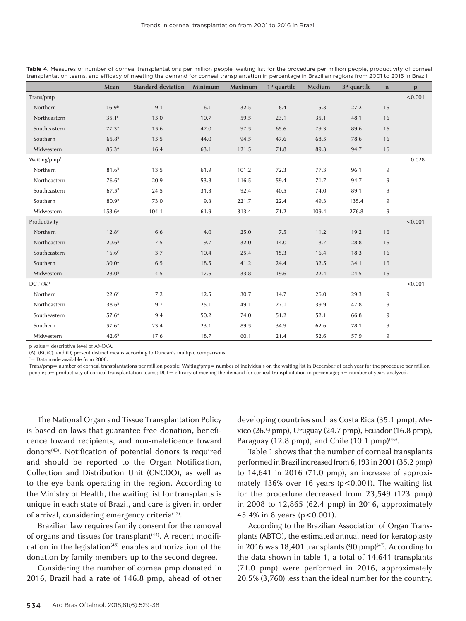|                          | Mean               | <b>Standard deviation</b> | Minimum | Maximum | $1°$ quartile | Medium | 3 <sup>o</sup> quartile | $\mathbf n$ | p       |
|--------------------------|--------------------|---------------------------|---------|---------|---------------|--------|-------------------------|-------------|---------|
| Trans/pmp                |                    |                           |         |         |               |        |                         |             | < 0.001 |
| Northern                 | 16.9 <sup>D</sup>  | 9.1                       | 6.1     | 32.5    | 8.4           | 15.3   | 27.2                    | 16          |         |
| Northeastern             | 35.1 <sup>c</sup>  | 15.0                      | 10.7    | 59.5    | 23.1          | 35.1   | 48.1                    | 16          |         |
| Southeastern             | 77.3 <sup>A</sup>  | 15.6                      | 47.0    | 97.5    | 65.6          | 79.3   | 89.6                    | 16          |         |
| Southern                 | 65.8 <sup>B</sup>  | 15.5                      | 44.0    | 94.5    | 47.6          | 68.5   | 78.6                    | 16          |         |
| Midwestern               | 86.3 <sup>A</sup>  | 16.4                      | 63.1    | 121.5   | 71.8          | 89.3   | 94.7                    | 16          |         |
| Waiting/pmp <sup>1</sup> |                    |                           |         |         |               |        |                         |             | 0.028   |
| Northern                 | 81.6 <sup>B</sup>  | 13.5                      | 61.9    | 101.2   | 72.3          | 77.3   | 96.1                    | 9           |         |
| Northeastern             | 76.6 <sup>B</sup>  | 20.9                      | 53.8    | 116.5   | 59.4          | 71.7   | 94.7                    | 9           |         |
| Southeastern             | 67.5 <sup>B</sup>  | 24.5                      | 31.3    | 92.4    | 40.5          | 74.0   | 89.1                    | 9           |         |
| Southern                 | 80.9 <sup>B</sup>  | 73.0                      | 9.3     | 221.7   | 22.4          | 49.3   | 135.4                   | 9           |         |
| Midwestern               | $158.6^{\text{A}}$ | 104.1                     | 61.9    | 313.4   | 71.2          | 109.4  | 276.8                   | 9           |         |
| Productivity             |                    |                           |         |         |               |        |                         |             | < 0.001 |
| Northern                 | 12.8 <sup>c</sup>  | 6.6                       | 4.0     | 25.0    | 7.5           | 11.2   | 19.2                    | 16          |         |
| Northeastern             | 20.6 <sup>B</sup>  | 7.5                       | 9.7     | 32.0    | 14.0          | 18.7   | 28.8                    | 16          |         |
| Southeastern             | 16.6 <sup>c</sup>  | 3.7                       | 10.4    | 25.4    | 15.3          | 16.4   | 18.3                    | 16          |         |
| Southern                 | 30.0 <sup>A</sup>  | 6.5                       | 18.5    | 41.2    | 24.4          | 32.5   | 34.1                    | 16          |         |
| Midwestern               | 23.0 <sup>B</sup>  | 4.5                       | 17.6    | 33.8    | 19.6          | 22.4   | 24.5                    | 16          |         |
| DCT $(%)$ <sup>1</sup>   |                    |                           |         |         |               |        |                         |             | < 0.001 |
| Northern                 | 22.6 <sup>c</sup>  | 7.2                       | 12.5    | 30.7    | 14.7          | 26.0   | 29.3                    | 9           |         |
| Northeastern             | 38.6 <sup>B</sup>  | 9.7                       | 25.1    | 49.1    | 27.1          | 39.9   | 47.8                    | 9           |         |
| Southeastern             | 57.6 <sup>A</sup>  | 9.4                       | 50.2    | 74.0    | 51.2          | 52.1   | 66.8                    | 9           |         |
| Southern                 | 57.6 <sup>A</sup>  | 23.4                      | 23.1    | 89.5    | 34.9          | 62.6   | 78.1                    | 9           |         |
| Midwestern               | 42.6 <sup>B</sup>  | 17.6                      | 18.7    | 60.1    | 21.4          | 52.6   | 57.9                    | 9           |         |

**Table 4.** Measures of number of corneal transplantations per million people, waiting list for the procedure per million people, productivity of corneal transplantation teams, and efficacy of meeting the demand for corneal transplantation in percentage in Brazilian regions from 2001 to 2016 in Brazil

p value= descriptive level of ANOVA.

(A), (B), (C), and (D) present distinct means according to Duncan's multiple comparisons.

1 = Data made available from 2008.

Trans/pmp= number of corneal transplantations per million people; Waiting/pmp= number of individuals on the waiting list in December of each year for the procedure per million people; p= productivity of corneal transplantation teams; DCT= efficacy of meeting the demand for corneal transplantation in percentage; n= number of years analyzed.

The National Organ and Tissue Transplantation Policy is based on laws that guarantee free donation, beneficence toward recipients, and non-maleficence toward donors<sup>(43)</sup>. Notification of potential donors is required and should be reported to the Organ Notification, Collection and Distribution Unit (CNCDO), as well as to the eye bank operating in the region. According to the Ministry of Health, the waiting list for transplants is unique in each state of Brazil, and care is given in order of arrival, considering emergency criteria<sup>(43)</sup>.

Brazilian law requires family consent for the removal of organs and tissues for transplant<sup>(44)</sup>. A recent modification in the legislation $(45)$  enables authorization of the donation by family members up to the second degree.

Considering the number of cornea pmp donated in 2016, Brazil had a rate of 146.8 pmp, ahead of other

developing countries such as Costa Rica (35.1 pmp), Mexico (26.9 pmp), Uruguay (24.7 pmp), Ecuador (16.8 pmp), Paraguay (12.8 pmp), and Chile (10.1 pmp) $(46)$ .

Table 1 shows that the number of corneal transplants performed in Brazil increased from 6,193 in 2001 (35.2 pmp) to 14,641 in 2016 (71.0 pmp), an increase of approximately 136% over 16 years (p<0.001). The waiting list for the procedure decreased from 23,549 (123 pmp) in 2008 to 12,865 (62.4 pmp) in 2016, approximately 45.4% in 8 years (p<0.001).

According to the Brazilian Association of Organ Transplants (ABTO), the estimated annual need for keratoplasty in 2016 was 18,401 transplants (90 pmp) $(47)$ . According to the data shown in table 1, a total of 14,641 transplants (71.0 pmp) were performed in 2016, approximately 20.5% (3,760) less than the ideal number for the country.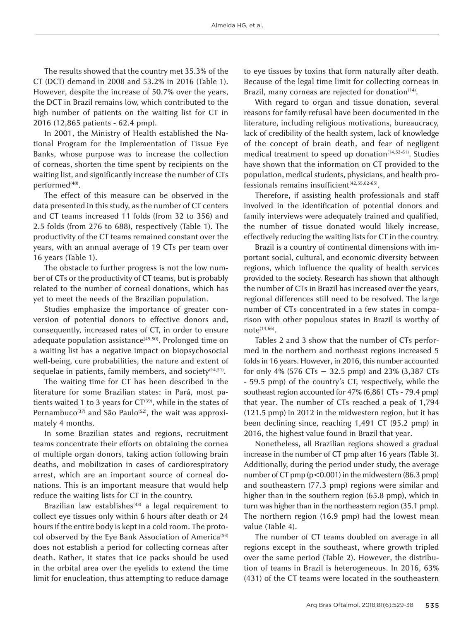The results showed that the country met 35.3% of the CT (DCT) demand in 2008 and 53.2% in 2016 (Table 1). However, despite the increase of 50.7% over the years, the DCT in Brazil remains low, which contributed to the high number of patients on the waiting list for CT in 2016 (12,865 patients - 62.4 pmp).

In 2001, the Ministry of Health established the National Program for the Implementation of Tissue Eye Banks, whose purpose was to increase the collection of corneas, shorten the time spent by recipients on the waiting list, and significantly increase the number of CTs performed<sup>(48)</sup>.

The effect of this measure can be observed in the data presented in this study, as the number of CT centers and CT teams increased 11 folds (from 32 to 356) and 2.5 folds (from 276 to 688), respectively (Table 1). The productivity of the CT teams remained constant over the years, with an annual average of 19 CTs per team over 16 years (Table 1).

The obstacle to further progress is not the low number of CTs or the productivity of CT teams, but is probably related to the number of corneal donations, which has yet to meet the needs of the Brazilian population.

Studies emphasize the importance of greater conversion of potential donors to effective donors and, consequently, increased rates of CT, in order to ensure adequate population assistance<sup>(49,50)</sup>. Prolonged time on a waiting list has a negative impact on biopsychosocial well-being, cure probabilities, the nature and extent of sequelae in patients, family members, and society $(14,51)$ .

The waiting time for CT has been described in the literature for some Brazilian states: in Pará, most patients waited 1 to 3 years for  $CT^{(39)}$ , while in the states of Pernambuco<sup>(37)</sup> and São Paulo<sup>(52)</sup>, the wait was approximately 4 months.

In some Brazilian states and regions, recruitment teams concentrate their efforts on obtaining the cornea of multiple organ donors, taking action following brain deaths, and mobilization in cases of cardiorespiratory arrest, which are an important source of corneal donations. This is an important measure that would help reduce the waiting lists for CT in the country.

Brazilian law establishes $(43)$  a legal requirement to collect eye tissues only within 6 hours after death or 24 hours if the entire body is kept in a cold room. The protocol observed by the Eye Bank Association of America<sup>(53)</sup> does not establish a period for collecting corneas after death. Rather, it states that ice packs should be used in the orbital area over the eyelids to extend the time limit for enucleation, thus attempting to reduce damage

to eye tissues by toxins that form naturally after death. Because of the legal time limit for collecting corneas in Brazil, many corneas are rejected for donation<sup>(14)</sup>.

With regard to organ and tissue donation, several reasons for family refusal have been documented in the literature, including religious motivations, bureaucracy, lack of credibility of the health system, lack of knowledge of the concept of brain death, and fear of negligent medical treatment to speed up donation<sup>(14,53-61)</sup>. Studies have shown that the information on CT provided to the population, medical students, physicians, and health professionals remains insufficient $(42,55,62-65)$ .

Therefore, if assisting health professionals and staff involved in the identification of potential donors and family interviews were adequately trained and qualified, the number of tissue donated would likely increase, effectively reducing the waiting lists for CT in the country.

Brazil is a country of continental dimensions with important social, cultural, and economic diversity between regions, which influence the quality of health services provided to the society. Research has shown that although the number of CTs in Brazil has increased over the years, regional differences still need to be resolved. The large number of CTs concentrated in a few states in comparison with other populous states in Brazil is worthy of not $e^{(14,66)}$ .

Tables 2 and 3 show that the number of CTs performed in the northern and northeast regions increased 5 folds in 16 years. However, in 2016, this number accounted for only 4% (576 CTs − 32.5 pmp) and 23% (3,387 CTs - 59.5 pmp) of the country's CT, respectively, while the southeast region accounted for 47% (6,861 CTs - 79.4 pmp) that year. The number of CTs reached a peak of 1,794 (121.5 pmp) in 2012 in the midwestern region, but it has been declining since, reaching 1,491 CT (95.2 pmp) in 2016, the highest value found in Brazil that year.

Nonetheless, all Brazilian regions showed a gradual increase in the number of CT pmp after 16 years (Table 3). Additionally, during the period under study, the average number of CT pmp (p<0.001) in the midwestern (86.3 pmp) and southeastern (77.3 pmp) regions were similar and higher than in the southern region (65.8 pmp), which in turn was higher than in the northeastern region (35.1 pmp). The northern region (16.9 pmp) had the lowest mean value (Table 4).

The number of CT teams doubled on average in all regions except in the southeast, where growth tripled over the same period (Table 2). However, the distribution of teams in Brazil is heterogeneous. In 2016, 63% (431) of the CT teams were located in the southeastern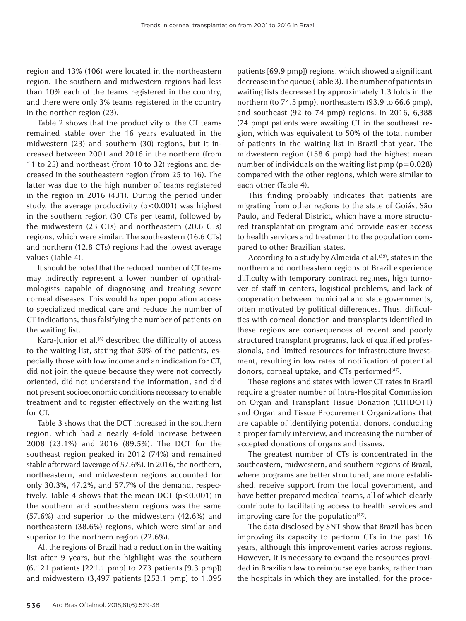region and 13% (106) were located in the northeastern region. The southern and midwestern regions had less than 10% each of the teams registered in the country, and there were only 3% teams registered in the country in the norther region (23).

Table 2 shows that the productivity of the CT teams remained stable over the 16 years evaluated in the midwestern (23) and southern (30) regions, but it increased between 2001 and 2016 in the northern (from 11 to 25) and northeast (from 10 to 32) regions and decreased in the southeastern region (from 25 to 16). The latter was due to the high number of teams registered in the region in 2016 (431). During the period under study, the average productivity  $(p<0.001)$  was highest in the southern region (30 CTs per team), followed by the midwestern (23 CTs) and northeastern (20.6 CTs) regions, which were similar. The southeastern (16.6 CTs) and northern (12.8 CTs) regions had the lowest average values (Table 4).

It should be noted that the reduced number of CT teams may indirectly represent a lower number of ophthalmologists capable of diagnosing and treating severe corneal diseases. This would hamper population access to specialized medical care and reduce the number of CT indications, thus falsifying the number of patients on the waiting list.

Kara-Junior et al.<sup>(6)</sup> described the difficulty of access to the waiting list, stating that 50% of the patients, especially those with low income and an indication for CT, did not join the queue because they were not correctly oriented, did not understand the information, and did not present socioeconomic conditions necessary to enable treatment and to register effectively on the waiting list for CT.

Table 3 shows that the DCT increased in the southern region, which had a nearly 4-fold increase between 2008 (23.1%) and 2016 (89.5%). The DCT for the southeast region peaked in 2012 (74%) and remained stable afterward (average of 57.6%). In 2016, the northern, northeastern, and midwestern regions accounted for only 30.3%, 47.2%, and 57.7% of the demand, respectively. Table 4 shows that the mean DCT (p<0.001) in the southern and southeastern regions was the same (57.6%) and superior to the midwestern (42.6%) and northeastern (38.6%) regions, which were similar and superior to the northern region (22.6%).

All the regions of Brazil had a reduction in the waiting list after 9 years, but the highlight was the southern (6.121 patients [221.1 pmp] to 273 patients [9.3 pmp]) and midwestern (3,497 patients [253.1 pmp] to 1,095

patients [69.9 pmp]) regions, which showed a significant decrease in the queue (Table 3). The number of patients in waiting lists decreased by approximately 1.3 folds in the northern (to 74.5 pmp), northeastern (93.9 to 66.6 pmp), and southeast (92 to 74 pmp) regions. In 2016, 6,388 (74 pmp) patients were awaiting CT in the southeast region, which was equivalent to 50% of the total number of patients in the waiting list in Brazil that year. The midwestern region (158.6 pmp) had the highest mean number of individuals on the waiting list pmp (p=0.028) compared with the other regions, which were similar to each other (Table 4).

This finding probably indicates that patients are migrating from other regions to the state of Goiás, São Paulo, and Federal District, which have a more structured transplantation program and provide easier access to health services and treatment to the population compared to other Brazilian states.

According to a study by Almeida et al.<sup>(39)</sup>, states in the northern and northeastern regions of Brazil experience difficulty with temporary contract regimes, high turnover of staff in centers, logistical problems, and lack of cooperation between municipal and state governments, often motivated by political differences. Thus, difficulties with corneal donation and transplants identified in these regions are consequences of recent and poorly structured transplant programs, lack of qualified professionals, and limited resources for infrastructure investment, resulting in low rates of notification of potential donors, corneal uptake, and CTs performed<sup>(47)</sup>.

These regions and states with lower CT rates in Brazil require a greater number of Intra-Hospital Commission on Organ and Transplant Tissue Donation (CIHDOTT) and Organ and Tissue Procurement Organizations that are capable of identifying potential donors, conducting a proper family interview, and increasing the number of accepted donations of organs and tissues.

The greatest number of CTs is concentrated in the southeastern, midwestern, and southern regions of Brazil, where programs are better structured, are more established, receive support from the local government, and have better prepared medical teams, all of which clearly contribute to facilitating access to health services and improving care for the population $(47)$ .

The data disclosed by SNT show that Brazil has been improving its capacity to perform CTs in the past 16 years, although this improvement varies across regions. However, it is necessary to expand the resources provided in Brazilian law to reimburse eye banks, rather than the hospitals in which they are installed, for the proce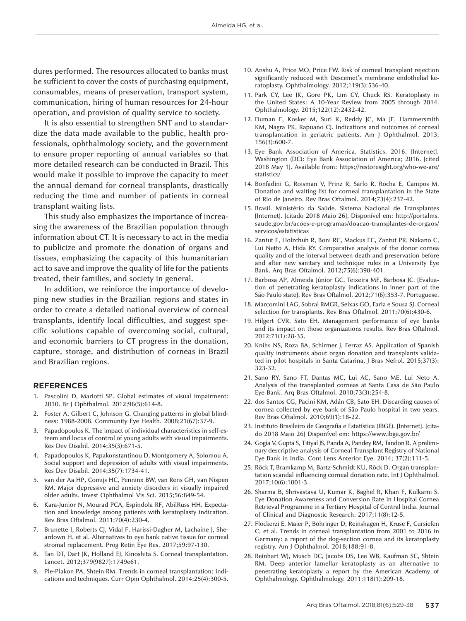dures performed. The resources allocated to banks must be sufficient to cover the costs of purchasing equipment, consumables, means of preservation, transport system, communication, hiring of human resources for 24-hour operation, and provision of quality service to society.

It is also essential to strengthen SNT and to standardize the data made available to the public, health professionals, ophthalmology society, and the government to ensure proper reporting of annual variables so that more detailed research can be conducted in Brazil. This would make it possible to improve the capacity to meet the annual demand for corneal transplants, drastically reducing the time and number of patients in corneal transplant waiting lists.

This study also emphasizes the importance of increasing the awareness of the Brazilian population through information about CT. It is necessary to act in the media to publicize and promote the donation of organs and tissues, emphasizing the capacity of this humanitarian act to save and improve the quality of life for the patients treated, their families, and society in general.

In addition, we reinforce the importance of developing new studies in the Brazilian regions and states in order to create a detailed national overview of corneal transplants, identify local difficulties, and suggest specific solutions capable of overcoming social, cultural, and economic barriers to CT progress in the donation, capture, storage, and distribution of corneas in Brazil and Brazilian regions.

#### **REFERENCES**

- 1. Pascolini D, Mariotti SP. Global estimates of visual impairment: 2010. Br J Ophthalmol. 2012;96(5):614-8.
- 2. Foster A, Gilbert C, Johnson G. Changing patterns in global blindness: 1988-2008. Community Eye Health. 2008;21(67):37-9.
- 3. Papadopoulos K. The impact of individual characteristics in self-esteem and locus of control of young adults with visual impairments. Res Dev Disabil. 2014;35(3):671-5.
- 4. Papadopoulos K, Papakonstantinou D, Montgomery A, Solomou A. Social support and depression of adults with visual impairments. Res Dev Disabil. 2014;35(7):1734-41.
- 5. van der Aa HP, Comijs HC, Penninx BW, van Rens GH, van Nispen RM. Major depressive and anxiety disorders in visually impaired older adults. Invest Ophthalmol Vis Sci. 2015;56:849-54.
- 6. Kara-Junior N, Mourad PCA, Espíndola RF, AbilRuss HH. Expectation and knowledge among patients with keratoplasty indication. Rev Bras Oftalmol. 2011;70(4):230-4.
- 7. Brunette I, Roberts CJ, Vidal F, Harissi-Dagher M, Lachaine J, Sheardown H, et al. Alternatives to eye bank native tissue for corneal stromal replacement. Prog Retin Eye Res. 2017;59:97-130.
- 8. Tan DT, Dart JK, Holland EJ, Kinoshita S. Corneal transplantation. Lancet. 2012;379(9827):1749e61.
- 9. Ple-Plakon PA, Shtein RM. Trends in corneal transplantation: indications and techniques. Curr Opin Ophthalmol. 2014;25(4):300-5.
- 10. Anshu A, Price MO, Price FW. Risk of corneal transplant rejection significantly reduced with Descemet's membrane endothelial keratoplasty. Ophthalmology. 2012;119(3):536-40.
- 11. Park CY, Lee JK, Gore PK, Lim CY, Chuck RS. Keratoplasty in the United States: A 10-Year Review from 2005 through 2014. Ophthalmology. 2015;122(12):2432-42.
- 12. Duman F, Kosker M, Suri K, Reddy JC, Ma JF, Hammersmith KM, Nagra PK, Rapuano CJ. Indications and outcomes of corneal transplantation in geriatric patients. Am J Ophthalmol. 2013; 156(3):600-7.
- 13. Eye Bank Association of America. Statistics. 2016. [Internet]. Washington (DC): Eye Bank Association of America; 2016. [cited 2018 May 1]. Available from: https://restoresight.org/who-we-are/ statistics/
- 14. Bonfadini G, Roisman V, Prinz R, Sarlo R, Rocha E, Campos M. Donation and waiting list for corneal transplantation in the State of Rio de Janeiro. Rev Bras Oftalmol. 2014;73(4):237-42.
- 15. Brasil. Ministério da Saúde. Sistema Nacional de Transplantes [Internet]. [citado 2018 Maio 26]. Disponível em: http://portalms. saude.gov.br/acoes-e-programas/doacao-transplantes-de-orgaos/ servicos/estatisticas
- 16. Zantut F, Holzchuh R, Boni RC, Mackus EC, Zantut PR, Nakano C, Lui Netto A, Hida RY. Comparative analysis of the donor cornea quality and of the interval between death and preservation before and after new sanitary and technique rules in a University Eye Bank. Arq Bras Oftalmol. 2012;75(6):398-401.
- 17. Barbosa AP, Almeida Júnior GC, Teixeira MF, Barbosa JC. [Evaluation of penetrating keratoplasty indications in inner part of the São Paulo state]. Rev Bras Oftalmol. 2012;71(6):353-7. Portuguese.
- 18. Marcomini LAG, Sobral RMGR, Seixas GO, Faria e Sousa SJ. Corneal selection for transplants. Rev Bras Oftalmol. 2011;70(6):430-6.
- 19. Hilgert CVR, Sato EH. Management performance of eye banks and its impact on those organizations results. Rev Bras Oftalmol. 2012;71(1):28-35.
- 20. Knihs NS, Roza BA, Schirmer J, Ferraz AS. Application of Spanish quality instruments about organ donation and transplants validated in pilot hospitals in Santa Catarina. J Bras Nefrol. 2015;37(3): 323-32.
- 21. Sano RY, Sano FT, Dantas MC, Lui AC, Sano ME, Lui Neto A. Analysis of the transplanted corneas at Santa Casa de São Paulo Eye Bank. Arq Bras Oftalmol. 2010;73(3):254-8.
- 22. dos Santos CG, Pacini KM, Adán CB, Sato EH. Discarding causes of cornea collected by eye bank of São Paulo hospital in two years. Rev Bras Oftalmol. 2010;69(1):18-22.
- 23. Instituto Brasileiro de Geografia e Estatística (IBGE). [Internet]. [citado 2018 Maio 26] Disponível em: https://www.ibge.gov.br/
- 24. Gogia V, Gupta S, Titiyal JS, Panda A, Pandey RM, Tandon R. A preliminary descriptive analysis of Corneal Transplant Registry of National Eye Bank in India. Cont Lens Anterior Eye. 2014; 37(2):111-5.
- 25. Röck T, Bramkamp M, Bartz-Schmidt KU, Röck D. Organ transplantation scandal influencing corneal donation rate. Int J Ophthalmol. 2017;10(6):1001-3.
- 26. Sharma B, Shrivastava U, Kumar K, Baghel R, Khan F, Kulkarni S. Eye Donation Awareness and Conversion Rate in Hospital Cornea Retrieval Programme in a Tertiary Hospital of Central India. Journal of Clinical and Diagnostic Research. 2017;11(8):12-5.
- 27. Flockerzi E, Maier P, Böhringer D, Reinshagen H, Kruse F, Cursiefen C, et al. Trends in corneal transplantation from 2001 to 2016 in Germany: a report of the dog-section cornea and its keratoplasty registry. Am J Ophthalmol. 2018;188:91-8.
- 28. Reinhart WJ, Musch DC, Jacobs DS, Lee WB, Kaufman SC, Shtein RM. Deep anterior lamellar keratoplasty as an alternative to penetrating keratoplasty a report by the American Academy of Ophthalmology. Ophthalmology. 2011;118(1):209-18.